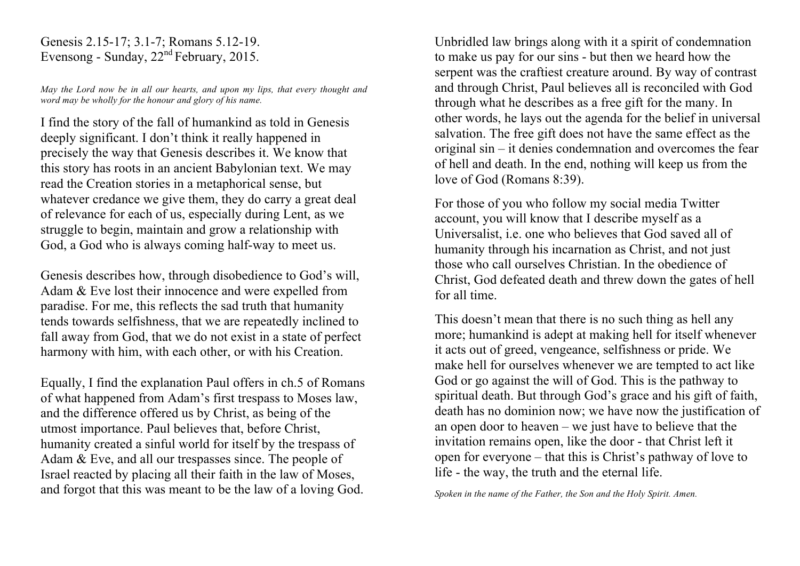Genesis 2.15-17; 3.1-7; Romans 5.12-19. Evensong - Sunday, 22nd February, 2015.

*May the Lord now be in all our hearts, and upon my lips, that every thought and word may be wholly for the honour and glory of his name.*

I find the story of the fall of humankind as told in Genesis deeply significant. I don't think it really happened in precisely the way that Genesis describes it. We know that this story has roots in an ancient Babylonian text. We may read the Creation stories in a metaphorical sense, but whatever credance we give them, they do carry a great deal of relevance for each of us, especially during Lent, as we struggle to begin, maintain and grow a relationship with God, a God who is always coming half-way to meet us.

Genesis describes how, through disobedience to God's will, Adam & Eve lost their innocence and were expelled from paradise. For me, this reflects the sad truth that humanity tends towards selfishness, that we are repeatedly inclined to fall away from God, that we do not exist in a state of perfect harmony with him, with each other, or with his Creation.

Equally, I find the explanation Paul offers in ch.5 of Romans of what happened from Adam's first trespass to Moses law, and the difference offered us by Christ, as being of the utmost importance. Paul believes that, before Christ, humanity created a sinful world for itself by the trespass of Adam & Eve, and all our trespasses since. The people of Israel reacted by placing all their faith in the law of Moses, and forgot that this was meant to be the law of a loving God.

Unbridled law brings along with it a spirit of condemnation to make us pay for our sins - but then we heard how the serpent was the craftiest creature around. By way of contrast and through Christ, Paul believes all is reconciled with God through what he describes as a free gift for the many. In other words, he lays out the agenda for the belief in universal salvation. The free gift does not have the same effect as the original sin – it denies condemnation and overcomes the fear of hell and death. In the end, nothing will keep us from the love of God (Romans 8:39).

For those of you who follow my social media Twitter account, you will know that I describe myself as a Universalist, i.e. one who believes that God saved all of humanity through his incarnation as Christ, and not just those who call ourselves Christian. In the obedience of Christ, God defeated death and threw down the gates of hell for all time.

This doesn't mean that there is no such thing as hell any more; humankind is adept at making hell for itself whenever it acts out of greed, vengeance, selfishness or pride. We make hell for ourselves whenever we are tempted to act like God or go against the will of God. This is the pathway to spiritual death. But through God's grace and his gift of faith, death has no dominion now; we have now the justification of an open door to heaven – we just have to believe that the invitation remains open, like the door - that Christ left it open for everyone – that this is Christ's pathway of love to life - the way, the truth and the eternal life.

*Spoken in the name of the Father, the Son and the Holy Spirit. Amen.*